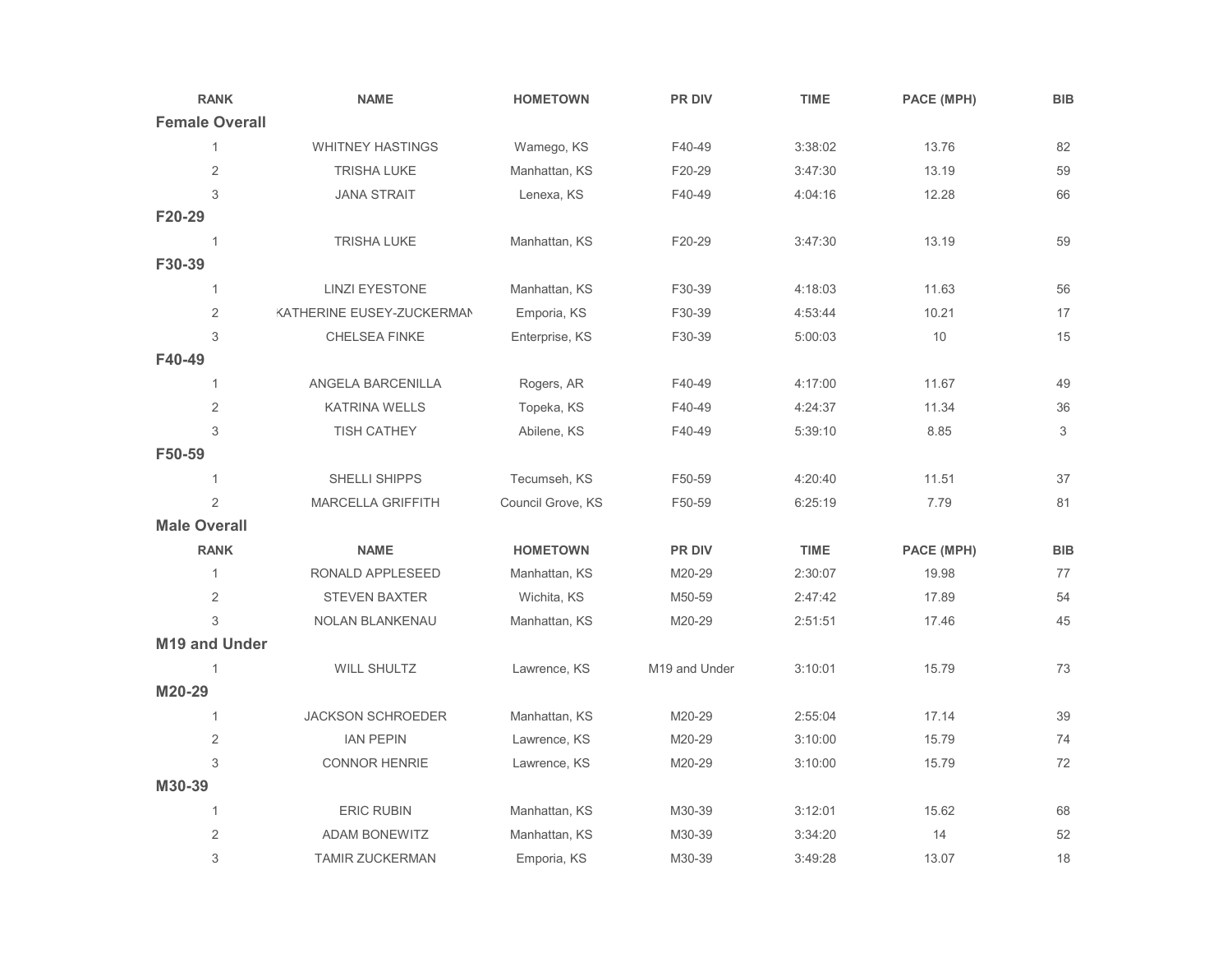| <b>RANK</b>           | <b>NAME</b>                      | <b>HOMETOWN</b>   | <b>PR DIV</b> | <b>TIME</b> | PACE (MPH) | <b>BIB</b> |
|-----------------------|----------------------------------|-------------------|---------------|-------------|------------|------------|
| <b>Female Overall</b> |                                  |                   |               |             |            |            |
| 1                     | <b>WHITNEY HASTINGS</b>          | Wamego, KS        | F40-49        | 3:38:02     | 13.76      | 82         |
| $\sqrt{2}$            | <b>TRISHA LUKE</b>               | Manhattan, KS     | F20-29        | 3:47:30     | 13.19      | 59         |
| 3                     | <b>JANA STRAIT</b>               | Lenexa, KS        | F40-49        | 4:04:16     | 12.28      | 66         |
| F20-29                |                                  |                   |               |             |            |            |
| $\mathbf{1}$          | <b>TRISHA LUKE</b>               | Manhattan, KS     | F20-29        | 3:47:30     | 13.19      | 59         |
| F30-39                |                                  |                   |               |             |            |            |
| 1                     | <b>LINZI EYESTONE</b>            | Manhattan, KS     | F30-39        | 4:18:03     | 11.63      | 56         |
| $\mathbf 2$           | <b>KATHERINE EUSEY-ZUCKERMAN</b> | Emporia, KS       | F30-39        | 4:53:44     | 10.21      | 17         |
| 3                     | <b>CHELSEA FINKE</b>             | Enterprise, KS    | F30-39        | 5:00:03     | 10         | 15         |
| F40-49                |                                  |                   |               |             |            |            |
| 1                     | ANGELA BARCENILLA                | Rogers, AR        | F40-49        | 4:17:00     | 11.67      | 49         |
| 2                     | <b>KATRINA WELLS</b>             | Topeka, KS        | F40-49        | 4:24:37     | 11.34      | 36         |
| 3                     | <b>TISH CATHEY</b>               | Abilene, KS       | F40-49        | 5:39:10     | 8.85       | 3          |
| F50-59                |                                  |                   |               |             |            |            |
| 1                     | SHELLI SHIPPS                    | Tecumseh, KS      | F50-59        | 4:20:40     | 11.51      | 37         |
| $\overline{2}$        | <b>MARCELLA GRIFFITH</b>         | Council Grove, KS | F50-59        | 6:25:19     | 7.79       | 81         |
| <b>Male Overall</b>   |                                  |                   |               |             |            |            |
| <b>RANK</b>           | <b>NAME</b>                      | <b>HOMETOWN</b>   | PR DIV        | <b>TIME</b> | PACE (MPH) | <b>BIB</b> |
| $\mathbf{1}$          | RONALD APPLESEED                 | Manhattan, KS     | M20-29        | 2:30:07     | 19.98      | 77         |
| 2                     | <b>STEVEN BAXTER</b>             | Wichita, KS       | M50-59        | 2:47:42     | 17.89      | 54         |
| 3                     | <b>NOLAN BLANKENAU</b>           | Manhattan, KS     | M20-29        | 2:51:51     | 17.46      | 45         |
| M19 and Under         |                                  |                   |               |             |            |            |
| 1                     | <b>WILL SHULTZ</b>               | Lawrence, KS      | M19 and Under | 3:10:01     | 15.79      | 73         |
| M20-29                |                                  |                   |               |             |            |            |
| 1                     | <b>JACKSON SCHROEDER</b>         | Manhattan, KS     | M20-29        | 2:55:04     | 17.14      | 39         |
| 2                     | <b>IAN PEPIN</b>                 | Lawrence, KS      | M20-29        | 3:10:00     | 15.79      | 74         |
| 3                     | <b>CONNOR HENRIE</b>             | Lawrence, KS      | M20-29        | 3:10:00     | 15.79      | 72         |
| M30-39                |                                  |                   |               |             |            |            |
| 1                     | <b>ERIC RUBIN</b>                | Manhattan, KS     | M30-39        | 3:12:01     | 15.62      | 68         |
| $\overline{2}$        | <b>ADAM BONEWITZ</b>             | Manhattan, KS     | M30-39        | 3:34:20     | 14         | 52         |
| 3                     | <b>TAMIR ZUCKERMAN</b>           | Emporia, KS       | M30-39        | 3:49:28     | 13.07      | 18         |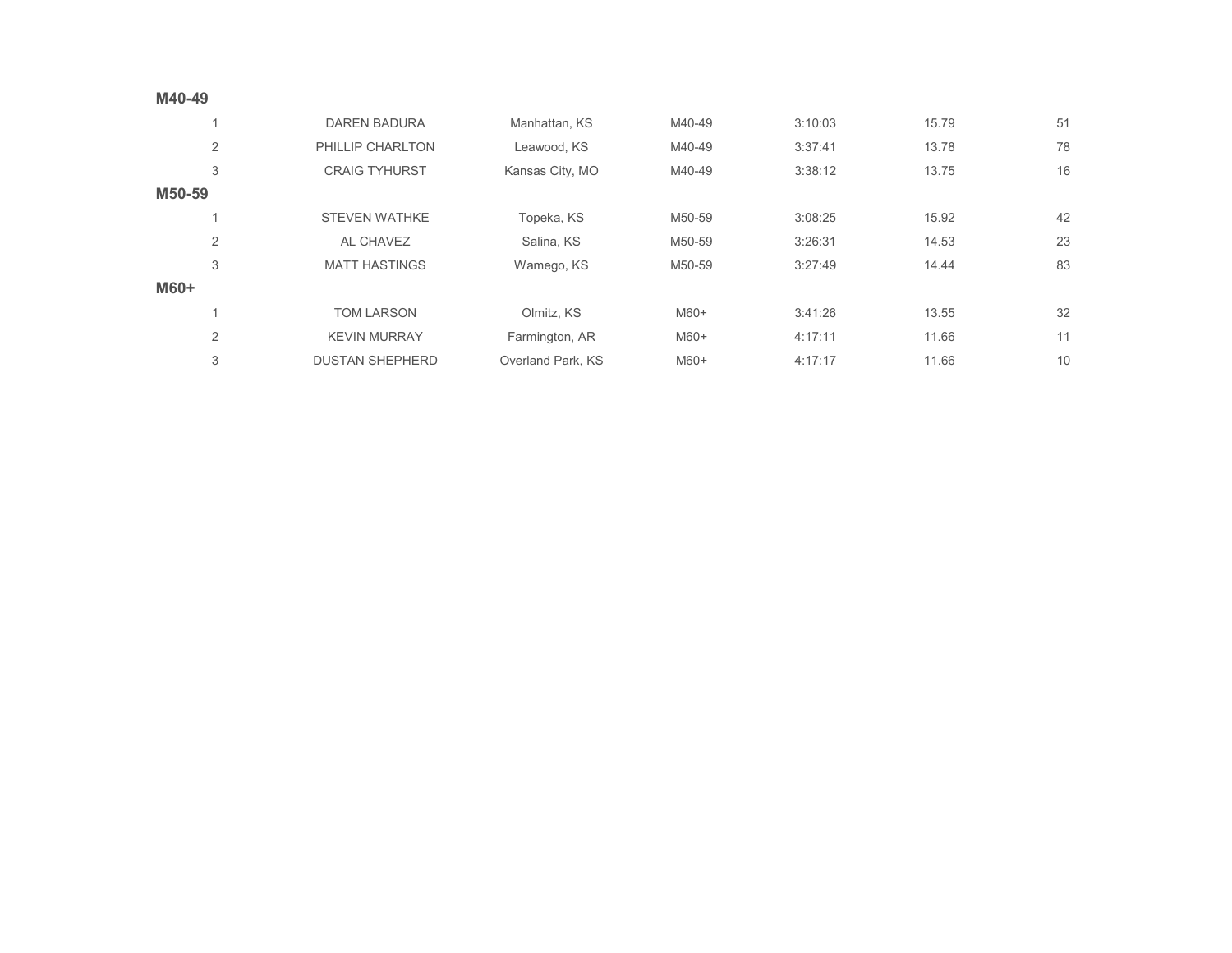| M40-49                   |                        |                   |        |         |       |    |
|--------------------------|------------------------|-------------------|--------|---------|-------|----|
| $\overline{\mathcal{A}}$ | <b>DAREN BADURA</b>    | Manhattan, KS     | M40-49 | 3:10:03 | 15.79 | 51 |
| 2                        | PHILLIP CHARLTON       | Leawood, KS       | M40-49 | 3:37:41 | 13.78 | 78 |
| 3                        | <b>CRAIG TYHURST</b>   | Kansas City, MO   | M40-49 | 3:38:12 | 13.75 | 16 |
| M50-59                   |                        |                   |        |         |       |    |
| $\overline{\mathcal{A}}$ | <b>STEVEN WATHKE</b>   | Topeka, KS        | M50-59 | 3:08:25 | 15.92 | 42 |
| $\overline{2}$           | AL CHAVEZ              | Salina, KS        | M50-59 | 3:26:31 | 14.53 | 23 |
| 3                        | <b>MATT HASTINGS</b>   | Wamego, KS        | M50-59 | 3:27:49 | 14.44 | 83 |
| M60+                     |                        |                   |        |         |       |    |
| 1                        | <b>TOM LARSON</b>      | Olmitz, KS        | M60+   | 3:41:26 | 13.55 | 32 |
| $\overline{2}$           | <b>KEVIN MURRAY</b>    | Farmington, AR    | $M60+$ | 4:17:11 | 11.66 | 11 |
| 3                        | <b>DUSTAN SHEPHERD</b> | Overland Park, KS | M60+   | 4:17:17 | 11.66 | 10 |